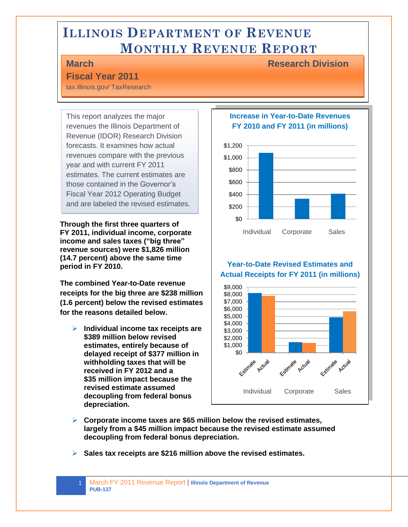# **ILLINOIS DEPARTMENT OF REVENUE MONTHLY REVENUE REPORT**

l

### **Fiscal Year 2011**

tax.illinois.gov/ TaxResearch

This report analyzes the major revenues the Illinois Department of Revenue (IDOR) Research Division forecasts. It examines how actual revenues compare with the previous year and with current FY 2011 estimates. The current estimates are those contained in the Governor's Fiscal Year 2012 Operating Budget and are labeled the revised estimates.

**Through the first three quarters of FY 2011, individual income, corporate income and sales taxes ("big three" revenue sources) were \$1,826 million (14.7 percent) above the same time period in FY 2010.** 

**The combined Year-to-Date revenue receipts for the big three are \$238 million (1.6 percent) below the revised estimates for the reasons detailed below.** 

 **Individual income tax receipts are \$389 million below revised estimates, entirely because of delayed receipt of \$377 million in withholding taxes that will be received in FY 2012 and a \$35 million impact because the revised estimate assumed decoupling from federal bonus depreciation.** 

#### **Increase in Year-to-Date Revenues FY 2010 and FY 2011 (in millions)**



**Year-to-Date Revised Estimates and Actual Receipts for FY 2011 (in millions)**



- **Corporate income taxes are \$65 million below the revised estimates, largely from a \$45 million impact because the revised estimate assumed decoupling from federal bonus depreciation.**
- **Sales tax receipts are \$216 million above the revised estimates.**

1 March FY 2011 Revenue Report | **Illinois Department of Revenue PUB-137** 

**March Research Division**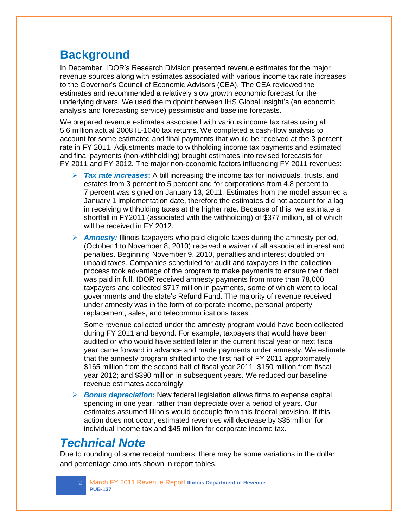### **Background**

In December, IDOR"s Research Division presented revenue estimates for the major revenue sources along with estimates associated with various income tax rate increases to the Governor"s Council of Economic Advisors (CEA). The CEA reviewed the estimates and recommended a relatively slow growth economic forecast for the underlying drivers. We used the midpoint between IHS Global Insight's (an economic analysis and forecasting service) pessimistic and baseline forecasts.

We prepared revenue estimates associated with various income tax rates using all 5.6 million actual 2008 IL-1040 tax returns. We completed a cash-flow analysis to account for some estimated and final payments that would be received at the 3 percent rate in FY 2011. Adjustments made to withholding income tax payments and estimated and final payments (non-withholding) brought estimates into revised forecasts for FY 2011 and FY 2012. The major non-economic factors influencing FY 2011 revenues:

- *Tax rate increases***:** A bill increasing the income tax for individuals, trusts, and estates from 3 percent to 5 percent and for corporations from 4.8 percent to 7 percent was signed on January 13, 2011. Estimates from the model assumed a January 1 implementation date, therefore the estimates did not account for a lag in receiving withholding taxes at the higher rate. Because of this, we estimate a shortfall in FY2011 (associated with the withholding) of \$377 million, all of which will be received in FY 2012.
- *Amnesty:* Illinois taxpayers who paid eligible taxes during the amnesty period, (October 1 to November 8, 2010) received a waiver of all associated interest and penalties. Beginning November 9, 2010, penalties and interest doubled on unpaid taxes. Companies scheduled for audit and taxpayers in the collection process took advantage of the program to make payments to ensure their debt was paid in full. IDOR received amnesty payments from more than 78,000 taxpayers and collected \$717 million in payments, some of which went to local governments and the state"s Refund Fund. The majority of revenue received under amnesty was in the form of corporate income, personal property replacement, sales, and telecommunications taxes.

Some revenue collected under the amnesty program would have been collected during FY 2011 and beyond. For example, taxpayers that would have been audited or who would have settled later in the current fiscal year or next fiscal year came forward in advance and made payments under amnesty. We estimate that the amnesty program shifted into the first half of FY 2011 approximately \$165 million from the second half of fiscal year 2011; \$150 million from fiscal year 2012; and \$390 million in subsequent years. We reduced our baseline revenue estimates accordingly.

 *Bonus depreciation:* New federal legislation allows firms to expense capital spending in one year, rather than depreciate over a period of years. Our estimates assumed Illinois would decouple from this federal provision. If this action does not occur, estimated revenues will decrease by \$35 million for individual income tax and \$45 million for corporate income tax.

## *Technical Note*

Due to rounding of some receipt numbers, there may be some variations in the dollar and percentage amounts shown in report tables.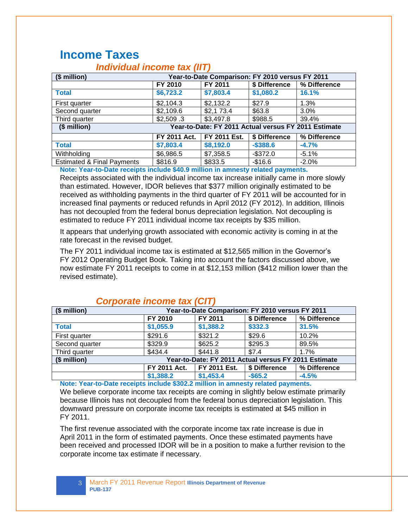### **Income Taxes**

| (\$ million)                          | Year-to-Date Comparison: FY 2010 versus FY 2011 |                                                      |               |              |  |  |
|---------------------------------------|-------------------------------------------------|------------------------------------------------------|---------------|--------------|--|--|
|                                       | FY 2010                                         | FY 2011                                              | \$ Difference | % Difference |  |  |
| <b>Total</b>                          | \$6,723.2                                       | \$7,803.4                                            | \$1,080.2     | 16.1%        |  |  |
| First quarter                         | \$2,104.3                                       | $\sqrt{$2,132.2}$                                    | \$27.9        | 1.3%         |  |  |
| Second quarter                        | \$2,109.6                                       | \$2,173.4                                            | \$63.8        | 3.0%         |  |  |
| Third quarter                         | \$2,509.3                                       | \$3,497.8                                            | \$988.5       | 39.4%        |  |  |
| $($$ million $)$                      |                                                 | Year-to-Date: FY 2011 Actual versus FY 2011 Estimate |               |              |  |  |
|                                       | FY 2011 Act.                                    | FY 2011 Est.                                         | \$ Difference | % Difference |  |  |
| <b>Total</b>                          | \$7,803.4                                       | \$8,192.0                                            | $-$ \$388.6   | $-4.7%$      |  |  |
| Withholding                           | \$6,986.5                                       | \$7,358.5                                            | $-$ \$372.0   | $-5.1%$      |  |  |
| <b>Estimated &amp; Final Payments</b> | \$816.9                                         | \$833.5                                              | $-$16.6$      | $-2.0%$      |  |  |

### *Individual income tax (IIT)*

**Note: Year-to-Date receipts include \$40.9 million in amnesty related payments.**

Receipts associated with the individual income tax increase initially came in more slowly than estimated. However, IDOR believes that \$377 million originally estimated to be received as withholding payments in the third quarter of FY 2011 will be accounted for in increased final payments or reduced refunds in April 2012 (FY 2012). In addition, Illinois has not decoupled from the federal bonus depreciation legislation. Not decoupling is estimated to reduce FY 2011 individual income tax receipts by \$35 million.

It appears that underlying growth associated with economic activity is coming in at the rate forecast in the revised budget.

The FY 2011 individual income tax is estimated at \$12,565 million in the Governor"s FY 2012 Operating Budget Book. Taking into account the factors discussed above, we now estimate FY 2011 receipts to come in at \$12,153 million (\$412 million lower than the revised estimate).

| (\$ million)   |              | Year-to-Date Comparison: FY 2010 versus FY 2011      |               |              |  |  |
|----------------|--------------|------------------------------------------------------|---------------|--------------|--|--|
|                | FY 2010      | FY 2011                                              | \$ Difference | % Difference |  |  |
| <b>Total</b>   | \$1,055.9    | \$1,388.2                                            | \$332.3       | 31.5%        |  |  |
| First quarter  | \$291.6      | \$321.2                                              | \$29.6        | 10.2%        |  |  |
| Second quarter | \$329.9      | \$625.2                                              | \$295.3       | 89.5%        |  |  |
| Third quarter  | \$434.4      | \$441.8                                              | \$7.4         | 1.7%         |  |  |
| (\$ million)   |              | Year-to-Date: FY 2011 Actual versus FY 2011 Estimate |               |              |  |  |
|                | FY 2011 Act. | FY 2011 Est.                                         | \$ Difference | % Difference |  |  |
|                | \$1,388.2    | \$1,453.4                                            | $-$ \$65.2    | $-4.5%$      |  |  |

#### *Corporate income tax (CIT)*

**Note: Year-to-Date receipts include \$302.2 million in amnesty related payments.** We believe corporate income tax receipts are coming in slightly below estimate primarily because Illinois has not decoupled from the federal bonus depreciation legislation. This downward pressure on corporate income tax receipts is estimated at \$45 million in FY 2011.

The first revenue associated with the corporate income tax rate increase is due in April 2011 in the form of estimated payments. Once these estimated payments have been received and processed IDOR will be in a position to make a further revision to the corporate income tax estimate if necessary.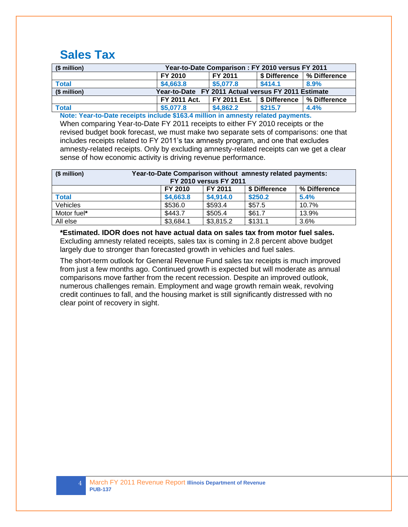### **Sales Tax**

| (\$ million) | Year-to-Date Comparison: FY 2010 versus FY 2011     |              |              |              |  |  |
|--------------|-----------------------------------------------------|--------------|--------------|--------------|--|--|
|              | FY 2011<br>FY 2010<br>% Difference<br>\$ Difference |              |              |              |  |  |
| <b>Total</b> | \$4,663.8                                           | \$5,077.8    | \$414.1      | 8.9%         |  |  |
| $$$ million) | Year-to-Date FY 2011 Actual versus FY 2011 Estimate |              |              |              |  |  |
|              | <b>FY 2011 Act.</b>                                 | FY 2011 Est. | S Difference | % Difference |  |  |
| <b>Total</b> | \$5,077.8                                           | \$4,862.2    | \$215.7      | 4.4%         |  |  |

**Note: Year-to-Date receipts include \$163.4 million in amnesty related payments.**

When comparing Year-to-Date FY 2011 receipts to either FY 2010 receipts or the revised budget book forecast, we must make two separate sets of comparisons: one that includes receipts related to FY 2011"s tax amnesty program, and one that excludes amnesty-related receipts. Only by excluding amnesty-related receipts can we get a clear sense of how economic activity is driving revenue performance.

| (\$ million)    | Year-to-Date Comparison without amnesty related payments:<br><b>FY 2010 versus FY 2011</b> |           |         |       |  |  |
|-----------------|--------------------------------------------------------------------------------------------|-----------|---------|-------|--|--|
|                 | FY 2011<br>\$ Difference<br>FY 2010<br>% Difference                                        |           |         |       |  |  |
| <b>Total</b>    | \$4,663.8                                                                                  | \$4,914.0 | \$250.2 | 5.4%  |  |  |
| <b>Vehicles</b> | \$536.0                                                                                    | \$593.4   | \$57.5  | 10.7% |  |  |
| Motor fuel*     | \$443.7                                                                                    | \$505.4   | \$61.7  | 13.9% |  |  |
| All else        | \$3,684.1                                                                                  | \$3,815.2 | \$131.1 | 3.6%  |  |  |

**\*Estimated. IDOR does not have actual data on sales tax from motor fuel sales.** Excluding amnesty related receipts, sales tax is coming in 2.8 percent above budget largely due to stronger than forecasted growth in vehicles and fuel sales.

The short-term outlook for General Revenue Fund sales tax receipts is much improved from just a few months ago. Continued growth is expected but will moderate as annual comparisons move farther from the recent recession. Despite an improved outlook, numerous challenges remain. Employment and wage growth remain weak, revolving credit continues to fall, and the housing market is still significantly distressed with no clear point of recovery in sight.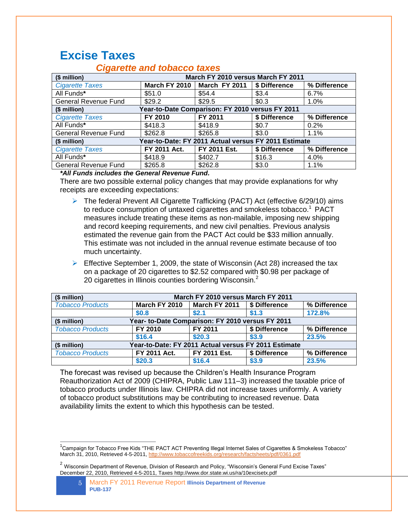### **Excise Taxes**

 $\overline{a}$ 

| (\$ million)                | March FY 2010 versus March FY 2011              |                                                      |               |              |  |
|-----------------------------|-------------------------------------------------|------------------------------------------------------|---------------|--------------|--|
| <b>Cigarette Taxes</b>      | March FY 2010                                   | March FY 2011                                        | \$ Difference | % Difference |  |
| All Funds*                  | \$51.0                                          | \$54.4                                               | \$3.4         | 6.7%         |  |
| <b>General Revenue Fund</b> | \$29.2                                          | \$29.5                                               | \$0.3         | 1.0%         |  |
| (\$ million)                | Year-to-Date Comparison: FY 2010 versus FY 2011 |                                                      |               |              |  |
| <b>Cigarette Taxes</b>      | FY 2010                                         | FY 2011                                              | \$ Difference | % Difference |  |
| All Funds*                  | \$418.3                                         | \$418.9                                              | \$0.7         | 0.2%         |  |
| General Revenue Fund        | \$262.8                                         | \$265.8                                              | \$3.0         | 1.1%         |  |
| (\$ million)                |                                                 | Year-to-Date: FY 2011 Actual versus FY 2011 Estimate |               |              |  |
| <b>Cigarette Taxes</b>      | FY 2011 Act.                                    | FY 2011 Est.                                         | \$ Difference | % Difference |  |
| All Funds*                  | \$418.9                                         | \$402.7                                              | \$16.3        | 4.0%         |  |
| <b>General Revenue Fund</b> | \$265.8                                         | \$262.8                                              | \$3.0         | 1.1%         |  |

#### *Cigarette and tobacco taxes*

*\*All Funds includes the General Revenue Fund.*

There are two possible external policy changes that may provide explanations for why receipts are exceeding expectations:

- ▶ The federal Prevent All Cigarette Trafficking (PACT) Act (effective 6/29/10) aims to reduce consumption of untaxed cigarettes and smokeless tobacco. <sup>1</sup> PACT measures include treating these items as non-mailable, imposing new shipping and record keeping requirements, and new civil penalties. Previous analysis estimated the revenue gain from the PACT Act could be \$33 million annually. This estimate was not included in the annual revenue estimate because of too much uncertainty.
- $\triangleright$  Effective September 1, 2009, the state of Wisconsin (Act 28) increased the tax on a package of 20 cigarettes to \$2.52 compared with \$0.98 per package of 20 cigarettes in Illinois counties bordering Wisconsin.<sup>2</sup>

| (\$ million)            | March FY 2010 versus March FY 2011                   |               |               |              |  |  |
|-------------------------|------------------------------------------------------|---------------|---------------|--------------|--|--|
| <b>Tobacco Products</b> | March FY 2010                                        | March FY 2011 | S Difference  | % Difference |  |  |
|                         | \$0.8                                                | \$2.1         | \$1.3         | 172.8%       |  |  |
| (\$ million)            | Year- to-Date Comparison: FY 2010 versus FY 2011     |               |               |              |  |  |
| <b>Tobacco Products</b> | FY 2010                                              | FY 2011       | \$ Difference | % Difference |  |  |
|                         | \$16.4                                               | \$20.3        | \$3.9         | 23.5%        |  |  |
| (\$ million)            | Year-to-Date: FY 2011 Actual versus FY 2011 Estimate |               |               |              |  |  |
| <b>Tobacco Products</b> | FY 2011 Act.                                         | FY 2011 Est.  | \$ Difference | % Difference |  |  |
|                         | \$20.3                                               | \$16.4        | \$3.9         | 23.5%        |  |  |

The forecast was revised up because the Children"s Health Insurance Program Reauthorization Act of 2009 (CHIPRA, Public Law 111–3) increased the taxable price of tobacco products under Illinois law. CHIPRA did not increase taxes uniformly. A variety of tobacco product substitutions may be contributing to increased revenue. Data availability limits the extent to which this hypothesis can be tested.

<sup>&</sup>lt;sup>1</sup>Campaign for Tobacco Free Kids "THE PACT ACT Preventing Illegal Internet Sales of Cigarettes & Smokeless Tobacco" March 31, 2010, Retrieved 4-5-2011,<http://www.tobaccofreekids.org/research/factsheets/pdf/0361.pdf>

<sup>&</sup>lt;sup>2</sup> Wisconsin Department of Revenue, Division of Research and Policy, "Wisconsin's General Fund Excise Taxes" December 22, 2010, Retrieved 4-5-2011, Taxes http://www.dor.state.wi.us/ra/10excisetx.pdf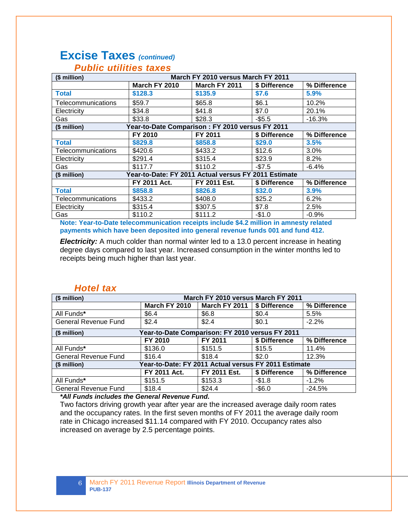# **Excise Taxes** *(continued)*

| (\$ million)       |                                                      | March FY 2010 versus March FY 2011 |               |              |  |
|--------------------|------------------------------------------------------|------------------------------------|---------------|--------------|--|
|                    | March FY 2010                                        | March FY 2011                      | \$ Difference | % Difference |  |
| <b>Total</b>       | \$128.3                                              | \$135.9                            | \$7.6         | 5.9%         |  |
| Telecommunications | \$59.7                                               | \$65.8                             | \$6.1         | 10.2%        |  |
| Electricity        | \$34.8                                               | \$41.8                             | \$7.0         | 20.1%        |  |
| Gas                | \$33.8                                               | \$28.3                             | $-$5.5$       | $-16.3%$     |  |
| (\$ million)       | Year-to-Date Comparison: FY 2010 versus FY 2011      |                                    |               |              |  |
|                    | FY 2010                                              | <b>FY 2011</b>                     | \$ Difference | % Difference |  |
| <b>Total</b>       | \$829.8                                              | \$858.8                            | \$29.0        | 3.5%         |  |
| Telecommunications | \$420.6                                              | \$433.2                            | \$12.6        | 3.0%         |  |
| Electricity        | \$291.4                                              | \$315.4                            | \$23.9        | 8.2%         |  |
| Gas                | \$117.7                                              | \$110.2                            | $-$7.5$       | $-6.4%$      |  |
| (\$ million)       | Year-to-Date: FY 2011 Actual versus FY 2011 Estimate |                                    |               |              |  |
|                    | FY 2011 Act.                                         | FY 2011 Est.                       | \$ Difference | % Difference |  |
| <b>Total</b>       | \$858.8                                              | \$826.8                            | \$32.0        | 3.9%         |  |
| Telecommunications | \$433.2                                              | \$408.0                            | \$25.2        | 6.2%         |  |
| Electricity        | \$315.4                                              | \$307.5                            | \$7.8         | 2.5%         |  |
| Gas                | \$110.2                                              | \$111.2                            | $-$1.0$       | $-0.9%$      |  |

#### *Public utilities taxes*

**Note: Year-to-Date telecommunication receipts include \$4.2 million in amnesty related payments which have been deposited into general revenue funds 001 and fund 412.**

**Electricity:** A much colder than normal winter led to a 13.0 percent increase in heating degree days compared to last year. Increased consumption in the winter months led to receipts being much higher than last year.

#### *Hotel tax*

| (\$ million)                | March FY 2010 versus March FY 2011                   |               |               |              |  |
|-----------------------------|------------------------------------------------------|---------------|---------------|--------------|--|
|                             | March FY 2010                                        | March FY 2011 | \$ Difference | % Difference |  |
| All Funds*                  | \$6.4                                                | \$6.8\$       | \$0.4         | 5.5%         |  |
| General Revenue Fund        | \$2.4                                                | \$2.4         | \$0.1         | $-2.2%$      |  |
| (\$ million)                | Year-to-Date Comparison: FY 2010 versus FY 2011      |               |               |              |  |
|                             | FY 2010                                              | FY 2011       | \$ Difference | % Difference |  |
| All Funds*                  | \$136.0                                              | \$151.5       | \$15.5        | 11.4%        |  |
| <b>General Revenue Fund</b> | \$16.4                                               | \$18.4        | \$2.0         | 12.3%        |  |
| (\$ million)                | Year-to-Date: FY 2011 Actual versus FY 2011 Estimate |               |               |              |  |
|                             | FY 2011 Act.                                         | FY 2011 Est.  | \$ Difference | % Difference |  |
| All Funds*                  | \$151.5                                              | \$153.3       | $-$1.8$       | $-1.2%$      |  |
| General Revenue Fund        | \$18.4                                               | \$24.4        | $-$6.0$       | $-24.5%$     |  |

*\*All Funds includes the General Revenue Fund.*

Two factors driving growth year after year are the increased average daily room rates and the occupancy rates. In the first seven months of FY 2011 the average daily room rate in Chicago increased \$11.14 compared with FY 2010. Occupancy rates also increased on average by 2.5 percentage points.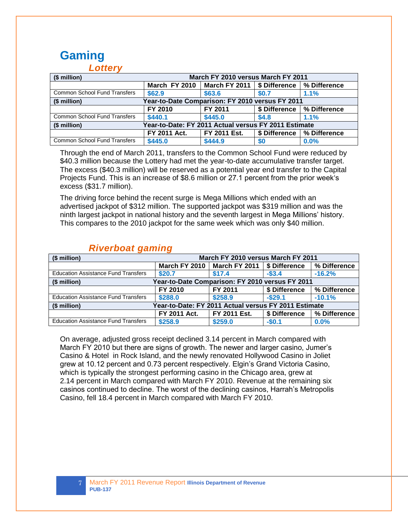#### **Gaming** *Lottery*

| Lv…vi                                                                |                     |                                    |               |              |  |
|----------------------------------------------------------------------|---------------------|------------------------------------|---------------|--------------|--|
| (\$ million)                                                         |                     | March FY 2010 versus March FY 2011 |               |              |  |
|                                                                      | March FY 2010       | March FY 2011   \$ Difference      |               | % Difference |  |
| <b>Common School Fund Transfers</b>                                  | \$62.9              | \$63.6                             | \$0.7         | 1.1%         |  |
| Year-to-Date Comparison: FY 2010 versus FY 2011<br>(\$ million)      |                     |                                    |               |              |  |
|                                                                      | FY 2010             | FY 2011                            | \$ Difference | % Difference |  |
| Common School Fund Transfers                                         | \$440.1             | \$445.0                            | \$4.8         | 1.1%         |  |
| Year-to-Date: FY 2011 Actual versus FY 2011 Estimate<br>(\$ million) |                     |                                    |               |              |  |
|                                                                      | <b>FY 2011 Act.</b> | FY 2011 Est.                       | \$ Difference | % Difference |  |
| <b>Common School Fund Transfers</b>                                  | \$445.0             | \$444.9                            | \$0           | $0.0\%$      |  |

Through the end of March 2011, transfers to the Common School Fund were reduced by \$40.3 million because the Lottery had met the year-to-date accumulative transfer target. The excess (\$40.3 million) will be reserved as a potential year end transfer to the Capital Projects Fund. This is an increase of \$8.6 million or 27.1 percent from the prior week"s excess (\$31.7 million).

The driving force behind the recent surge is Mega Millions which ended with an advertised jackpot of \$312 million. The supported jackpot was \$319 million and was the ninth largest jackpot in national history and the seventh largest in Mega Millions" history. This compares to the 2010 jackpot for the same week which was only \$40 million.

| (\$ million)                               | March FY 2010 versus March FY 2011                   |                               |               |              |  |
|--------------------------------------------|------------------------------------------------------|-------------------------------|---------------|--------------|--|
|                                            |                                                      | March FY 2010   March FY 2011 | S Difference  | % Difference |  |
| <b>Education Assistance Fund Transfers</b> | \$20.7                                               | \$17.4                        | $-$ \$3.4     | $-16.2%$     |  |
| (\$ million)                               | Year-to-Date Comparison: FY 2010 versus FY 2011      |                               |               |              |  |
|                                            | FY 2010                                              | FY 2011                       | \$ Difference | % Difference |  |
| <b>Education Assistance Fund Transfers</b> | \$288.0                                              | \$258.9                       | $-$ \$29.1    | $-10.1%$     |  |
| (\$ million)                               | Year-to-Date: FY 2011 Actual versus FY 2011 Estimate |                               |               |              |  |
|                                            | FY 2011 Act.                                         | FY 2011 Est.                  | \$ Difference | % Difference |  |
| <b>Education Assistance Fund Transfers</b> | \$258.9                                              | \$259.0                       | $-$0.1$       | $0.0\%$      |  |

#### *Riverboat gaming*

On average, adjusted gross receipt declined 3.14 percent in March compared with March FY 2010 but there are signs of growth. The newer and larger casino, Jumer"s Casino & Hotel in Rock Island, and the newly renovated Hollywood Casino in Joliet grew at 10.12 percent and 0.73 percent respectively. Elgin"s Grand Victoria Casino, which is typically the strongest performing casino in the Chicago area, grew at 2.14 percent in March compared with March FY 2010. Revenue at the remaining six casinos continued to decline. The worst of the declining casinos, Harrah"s Metropolis Casino, fell 18.4 percent in March compared with March FY 2010.